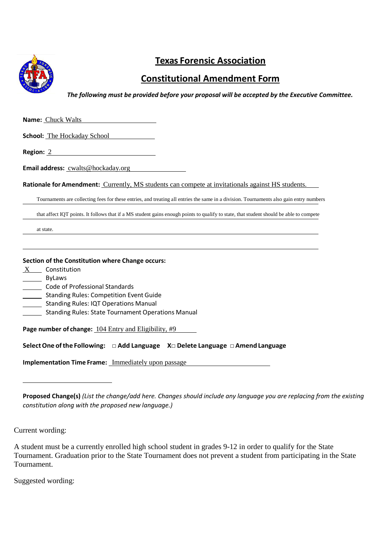

## **Texas Forensic Association**

## **Constitutional Amendment Form**

*The following must be provided before your proposal will be accepted by the Executive Committee.* 

| <b>Name:</b> Chuck Walts                                                                                                                                                                                                                                                                                    |  |
|-------------------------------------------------------------------------------------------------------------------------------------------------------------------------------------------------------------------------------------------------------------------------------------------------------------|--|
| <b>School:</b> The Hockaday School                                                                                                                                                                                                                                                                          |  |
|                                                                                                                                                                                                                                                                                                             |  |
| <b>Email address:</b> cwalts@hockaday.org                                                                                                                                                                                                                                                                   |  |
| Rationale for Amendment: Currently, MS students can compete at invitationals against HS students.                                                                                                                                                                                                           |  |
| Tournaments are collecting fees for these entries, and treating all entries the same in a division. Tournaments also gain entry numbers                                                                                                                                                                     |  |
| that affect IQT points. It follows that if a MS student gains enough points to qualify to state, that student should be able to compete                                                                                                                                                                     |  |
| at state.                                                                                                                                                                                                                                                                                                   |  |
| Section of the Constitution where Change occurs:<br>X Constitution<br>ByLaws<br>Code of Professional Standards<br><b>Standing Rules: Competition Event Guide</b><br>$\mathcal{L}_{\text{max}}$<br><b>Standing Rules: IQT Operations Manual</b><br><b>Standing Rules: State Tournament Operations Manual</b> |  |
| Page number of change: 104 Entry and Eligibility, #9                                                                                                                                                                                                                                                        |  |
| Select One of the Following: $\Box$ Add Language $X \Box$ Delete Language $\Box$ Amend Language                                                                                                                                                                                                             |  |
| <b>Implementation Time Frame:</b> Immediately upon passage                                                                                                                                                                                                                                                  |  |
|                                                                                                                                                                                                                                                                                                             |  |
|                                                                                                                                                                                                                                                                                                             |  |

**Proposed Change(s)** *(List the change/add here. Changes should include any language you are replacing from the existing constitution along with the proposed new language.)* 

Current wording:

A student must be a currently enrolled high school student in grades 9-12 in order to qualify for the State Tournament. Graduation prior to the State Tournament does not prevent a student from participating in the State Tournament.

Suggested wording: